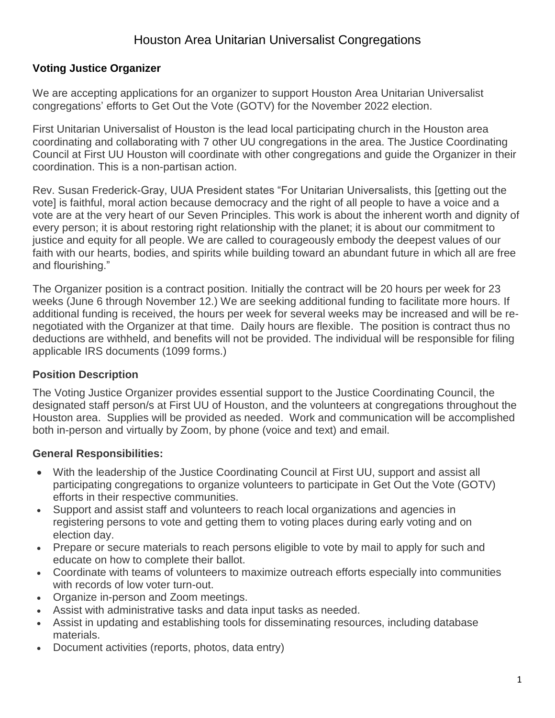# Houston Area Unitarian Universalist Congregations

#### **Voting Justice Organizer**

We are accepting applications for an organizer to support Houston Area Unitarian Universalist congregations' efforts to Get Out the Vote (GOTV) for the November 2022 election.

First Unitarian Universalist of Houston is the lead local participating church in the Houston area coordinating and collaborating with 7 other UU congregations in the area. The Justice Coordinating Council at First UU Houston will coordinate with other congregations and guide the Organizer in their coordination. This is a non-partisan action.

Rev. Susan Frederick-Gray, UUA President states "For Unitarian Universalists, this [getting out the vote] is faithful, moral action because democracy and the right of all people to have a voice and a vote are at the very heart of our Seven Principles. This work is about the inherent worth and dignity of every person; it is about restoring right relationship with the planet; it is about our commitment to justice and equity for all people. We are called to courageously embody the deepest values of our faith with our hearts, bodies, and spirits while building toward an abundant future in which all are free and flourishing."

The Organizer position is a contract position. Initially the contract will be 20 hours per week for 23 weeks (June 6 through November 12.) We are seeking additional funding to facilitate more hours. If additional funding is received, the hours per week for several weeks may be increased and will be renegotiated with the Organizer at that time. Daily hours are flexible. The position is contract thus no deductions are withheld, and benefits will not be provided. The individual will be responsible for filing applicable IRS documents (1099 forms.)

#### **Position Description**

The Voting Justice Organizer provides essential support to the Justice Coordinating Council, the designated staff person/s at First UU of Houston, and the volunteers at congregations throughout the Houston area. Supplies will be provided as needed. Work and communication will be accomplished both in-person and virtually by Zoom, by phone (voice and text) and email.

### **General Responsibilities:**

- With the leadership of the Justice Coordinating Council at First UU, support and assist all participating congregations to organize volunteers to participate in Get Out the Vote (GOTV) efforts in their respective communities.
- Support and assist staff and volunteers to reach local organizations and agencies in registering persons to vote and getting them to voting places during early voting and on election day.
- Prepare or secure materials to reach persons eligible to vote by mail to apply for such and educate on how to complete their ballot.
- Coordinate with teams of volunteers to maximize outreach efforts especially into communities with records of low voter turn-out.
- Organize in-person and Zoom meetings.
- Assist with administrative tasks and data input tasks as needed.
- Assist in updating and establishing tools for disseminating resources, including database materials.
- Document activities (reports, photos, data entry)